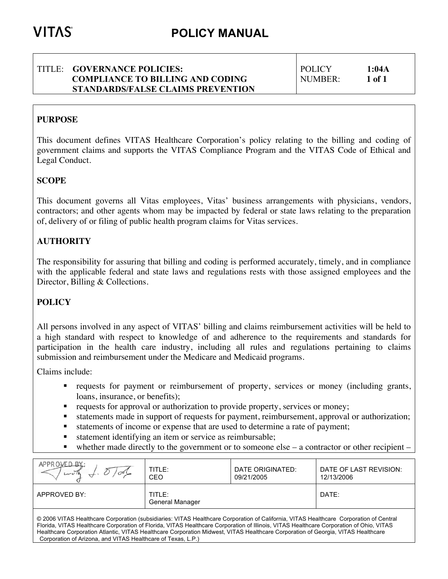### TITLE: **GOVERNANCE POLICIES: COMPLIANCE TO BILLING AND CODING STANDARDS/FALSE CLAIMS PREVENTION**

POLICY **1:04A** NUMBER: **1 of 1**

# **PURPOSE**

This document defines VITAS Healthcare Corporation's policy relating to the billing and coding of government claims and supports the VITAS Compliance Program and the VITAS Code of Ethical and Legal Conduct.

# **SCOPE**

This document governs all Vitas employees, Vitas' business arrangements with physicians, vendors, contractors; and other agents whom may be impacted by federal or state laws relating to the preparation of, delivery of or filing of public health program claims for Vitas services.

# **AUTHORITY**

The responsibility for assuring that billing and coding is performed accurately, timely, and in compliance with the applicable federal and state laws and regulations rests with those assigned employees and the Director, Billing & Collections.

## **POLICY**

All persons involved in any aspect of VITAS' billing and claims reimbursement activities will be held to a high standard with respect to knowledge of and adherence to the requirements and standards for participation in the health care industry, including all rules and regulations pertaining to claims submission and reimbursement under the Medicare and Medicaid programs.

Claims include:

- **•** requests for payment or reimbursement of property, services or money (including grants, loans, insurance, or benefits);
- requests for approval or authorization to provide property, services or money;
- statements made in support of requests for payment, reimbursement, approval or authorization;
- statements of income or expense that are used to determine a rate of payment;
- statement identifying an item or service as reimbursable;
- whether made directly to the government or to someone else a contractor or other recipient –

| APPROVED BY:<br>روسدا                                                                                                               | TITLE:<br><b>CEO</b>      | DATE ORIGINATED:<br>09/21/2005 | DATE OF LAST REVISION:<br>12/13/2006 |  |  |
|-------------------------------------------------------------------------------------------------------------------------------------|---------------------------|--------------------------------|--------------------------------------|--|--|
| APPROVED BY:                                                                                                                        | TITLE:<br>General Manager |                                | DATE:                                |  |  |
| @ 2006 UTAC Healthcorp Camaration (aubeidiariae: VITAC Healthcorp Camaration of California, VITAC Healthcorp, Camaration of Cantral |                           |                                |                                      |  |  |

© 2006 VITAS Healthcare Corporation (subsidiaries: VITAS Healthcare Corporation of California, VITAS Healthcare Corporation of Central Florida, VITAS Healthcare Corporation of Florida, VITAS Healthcare Corporation of Illinois, VITAS Healthcare Corporation of Ohio, VITAS Healthcare Corporation Atlantic, VITAS Healthcare Corporation Midwest, VITAS Healthcare Corporation of Georgia, VITAS Healthcare Corporation of Arizona, and VITAS Healthcare of Texas, L.P.)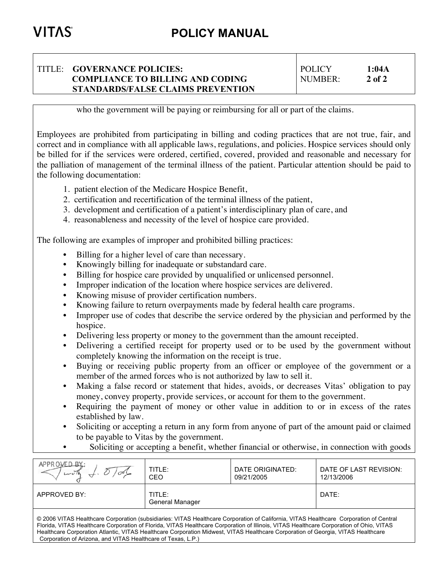#### TITLE: **GOVERNANCE POLICIES: COMPLIANCE TO BILLING AND CODING STANDARDS/FALSE CLAIMS PREVENTION** POLICY **1:04A** NUMBER: **2 of 2**

who the government will be paying or reimbursing for all or part of the claims.

Employees are prohibited from participating in billing and coding practices that are not true, fair, and correct and in compliance with all applicable laws, regulations, and policies. Hospice services should only be billed for if the services were ordered, certified, covered, provided and reasonable and necessary for the palliation of management of the terminal illness of the patient. Particular attention should be paid to the following documentation:

- 1. patient election of the Medicare Hospice Benefit,
- 2. certification and recertification of the terminal illness of the patient,
- 3. development and certification of a patient's interdisciplinary plan of care, and
- 4. reasonableness and necessity of the level of hospice care provided.

The following are examples of improper and prohibited billing practices:

- Billing for a higher level of care than necessary.
- Knowingly billing for inadequate or substandard care.
- Billing for hospice care provided by unqualified or unlicensed personnel.
- Improper indication of the location where hospice services are delivered.
- Knowing misuse of provider certification numbers.
- Knowing failure to return overpayments made by federal health care programs.
- Improper use of codes that describe the service ordered by the physician and performed by the hospice.
- Delivering less property or money to the government than the amount receipted.
- Delivering a certified receipt for property used or to be used by the government without completely knowing the information on the receipt is true.
- Buying or receiving public property from an officer or employee of the government or a member of the armed forces who is not authorized by law to sell it.
- Making a false record or statement that hides, avoids, or decreases Vitas' obligation to pay money, convey property, provide services, or account for them to the government.
- Requiring the payment of money or other value in addition to or in excess of the rates established by law.
- Soliciting or accepting a return in any form from anyone of part of the amount paid or claimed to be payable to Vitas by the government.
	- Soliciting or accepting a benefit, whether financial or otherwise, in connection with goods

| APPROVED BY:<br>سد | TITLE:<br>CEO             | DATE ORIGINATED:<br>09/21/2005 | DATE OF LAST REVISION:<br>12/13/2006 |
|--------------------|---------------------------|--------------------------------|--------------------------------------|
| APPROVED BY:       | TITLE:<br>General Manager |                                | DATE:                                |
|                    |                           |                                |                                      |

© 2006 VITAS Healthcare Corporation (subsidiaries: VITAS Healthcare Corporation of California, VITAS Healthcare Corporation of Central Florida, VITAS Healthcare Corporation of Florida, VITAS Healthcare Corporation of Illinois, VITAS Healthcare Corporation of Ohio, VITAS Healthcare Corporation Atlantic, VITAS Healthcare Corporation Midwest, VITAS Healthcare Corporation of Georgia, VITAS Healthcare Corporation of Arizona, and VITAS Healthcare of Texas, L.P.)